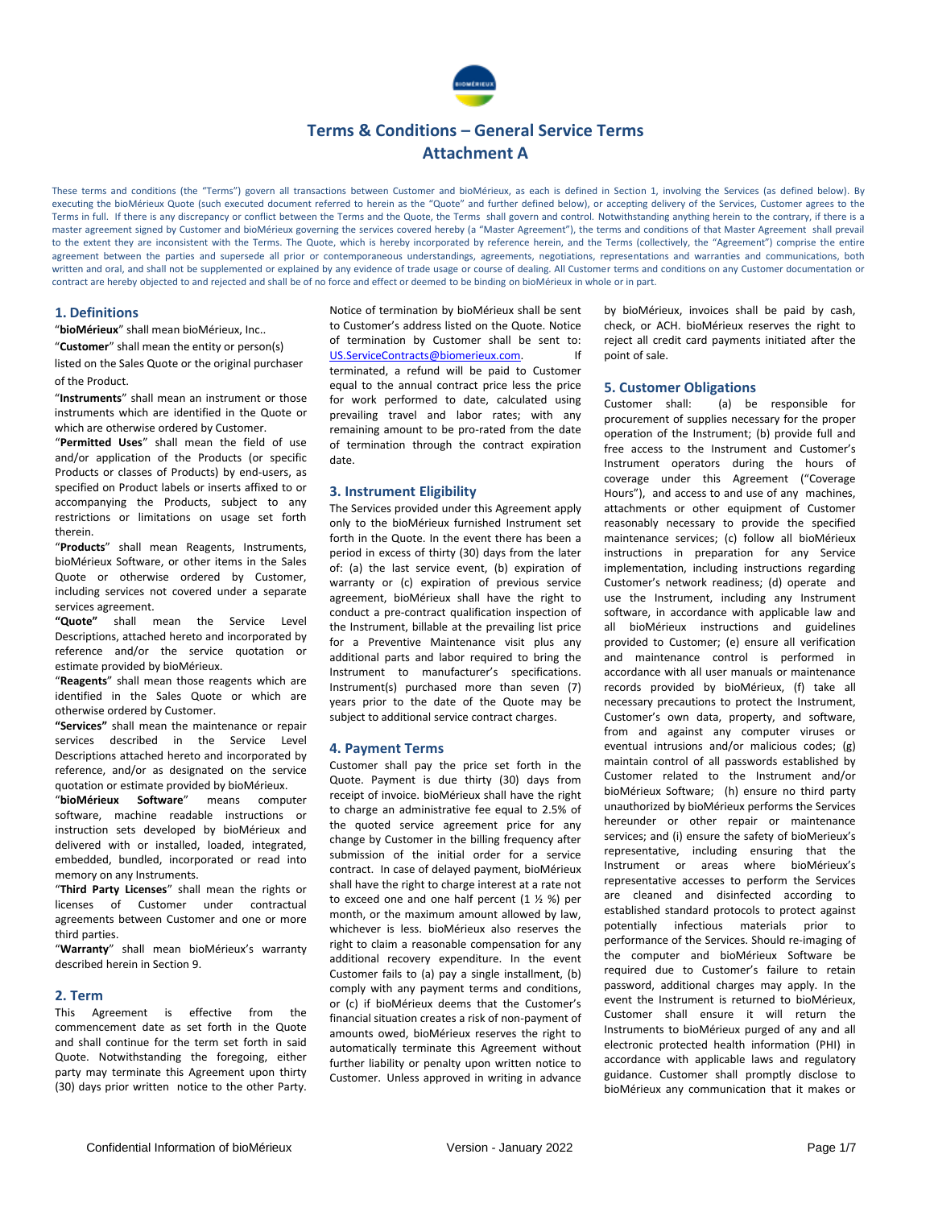

These terms and conditions (the "Terms") govern all transactions between Customer and bioMérieux, as each is defined in Section 1, involving the Services (as defined below). By executing the bioMérieux Quote (such executed document referred to herein as the "Quote" and further defined below), or accepting delivery of the Services, Customer agrees to the Terms in full. If there is any discrepancy or conflict between the Terms and the Quote, the Terms shall govern and control. Notwithstanding anything herein to the contrary, if there is a master agreement signed by Customer and bioMérieux governing the services covered hereby (a "Master Agreement"), the terms and conditions of that Master Agreement shall prevail to the extent they are inconsistent with the Terms. The Quote, which is hereby incorporated by reference herein, and the Terms (collectively, the "Agreement") comprise the entire agreement between the parties and supersede all prior or contemporaneous understandings, agreements, negotiations, representations and warranties and communications, both written and oral, and shall not be supplemented or explained by any evidence of trade usage or course of dealing. All Customer terms and conditions on any Customer documentation or contract are hereby objected to and rejected and shall be of no force and effect or deemed to be binding on bioMérieux in whole or in part.

#### **1. Definitions**

"**bioMérieux**" shall mean bioMérieux, Inc..

"**Customer**" shall mean the entity or person(s) listed on the Sales Quote or the original purchaser of the Product.

"**Instruments**" shall mean an instrument or those instruments which are identified in the Quote or which are otherwise ordered by Customer.

"**Permitted Uses**" shall mean the field of use and/or application of the Products (or specific Products or classes of Products) by end-users, as specified on Product labels or inserts affixed to or accompanying the Products, subject to any restrictions or limitations on usage set forth therein.

"**Products**" shall mean Reagents, Instruments, bioMérieux Software, or other items in the Sales Quote or otherwise ordered by Customer, including services not covered under a separate services agreement.

**"Quote"** shall mean the Service Level Descriptions, attached hereto and incorporated by reference and/or the service quotation or estimate provided by bioMérieux.

"**Reagents**" shall mean those reagents which are identified in the Sales Quote or which are otherwise ordered by Customer.

**"Services"** shall mean the maintenance or repair services described in the Service Level Descriptions attached hereto and incorporated by reference, and/or as designated on the service quotation or estimate provided by bioMérieux.

"**bioMérieux Software**" means computer software, machine readable instructions or instruction sets developed by bioMérieux and delivered with or installed, loaded, integrated, embedded, bundled, incorporated or read into memory on any Instruments.

"**Third Party Licenses**" shall mean the rights or licenses of Customer under contractual agreements between Customer and one or more third parties.

"**Warranty**" shall mean bioMérieux's warranty described herein in Section 9.

#### **2. Term**

This Agreement is effective from the commencement date as set forth in the Quote and shall continue for the term set forth in said Quote. Notwithstanding the foregoing, either party may terminate this Agreement upon thirty (30) days prior written notice to the other Party.

Notice of termination by bioMérieux shall be sent to Customer's address listed on the Quote. Notice of termination by Customer shall be sent to: [US.ServiceContracts@biomerieux.com.](mailto:US.ServiceContracts@biomerieux.com) If terminated, a refund will be paid to Customer equal to the annual contract price less the price for work performed to date, calculated using prevailing travel and labor rates; with any remaining amount to be pro-rated from the date of termination through the contract expiration date.

#### **3. Instrument Eligibility**

The Services provided under this Agreement apply only to the bioMérieux furnished Instrument set forth in the Quote. In the event there has been a period in excess of thirty (30) days from the later of: (a) the last service event, (b) expiration of warranty or (c) expiration of previous service agreement, bioMérieux shall have the right to conduct a pre-contract qualification inspection of the Instrument, billable at the prevailing list price for a Preventive Maintenance visit plus any additional parts and labor required to bring the Instrument to manufacturer's specifications. Instrument(s) purchased more than seven (7) years prior to the date of the Quote may be subject to additional service contract charges.

#### **4. Payment Terms**

Customer shall pay the price set forth in the Quote. Payment is due thirty (30) days from receipt of invoice. bioMérieux shall have the right to charge an administrative fee equal to 2.5% of the quoted service agreement price for any change by Customer in the billing frequency after submission of the initial order for a service contract. In case of delayed payment, bioMérieux shall have the right to charge interest at a rate not to exceed one and one half percent (1 ½ %) per month, or the maximum amount allowed by law, whichever is less. bioMérieux also reserves the right to claim a reasonable compensation for any additional recovery expenditure. In the event Customer fails to (a) pay a single installment, (b) comply with any payment terms and conditions, or (c) if bioMérieux deems that the Customer's financial situation creates a risk of non-payment of amounts owed, bioMérieux reserves the right to automatically terminate this Agreement without further liability or penalty upon written notice to Customer. Unless approved in writing in advance

by bioMérieux, invoices shall be paid by cash, check, or ACH. bioMérieux reserves the right to reject all credit card payments initiated after the point of sale.

#### **5. Customer Obligations**

Customer shall: (a) be responsible for procurement of supplies necessary for the proper operation of the Instrument; (b) provide full and free access to the Instrument and Customer's Instrument operators during the hours of coverage under this Agreement ("Coverage Hours"), and access to and use of any machines, attachments or other equipment of Customer reasonably necessary to provide the specified maintenance services; (c) follow all bioMérieux instructions in preparation for any Service implementation, including instructions regarding Customer's network readiness; (d) operate and use the Instrument, including any Instrument software, in accordance with applicable law and all bioMérieux instructions and guidelines provided to Customer; (e) ensure all verification and maintenance control is performed in accordance with all user manuals or maintenance records provided by bioMérieux, (f) take all necessary precautions to protect the Instrument, Customer's own data, property, and software, from and against any computer viruses or eventual intrusions and/or malicious codes; (g) maintain control of all passwords established by Customer related to the Instrument and/or bioMérieux Software; (h) ensure no third party unauthorized by bioMérieux performs the Services hereunder or other repair or maintenance services; and (i) ensure the safety of bioMerieux's representative, including ensuring that the Instrument or areas where bioMérieux's representative accesses to perform the Services are cleaned and disinfected according to established standard protocols to protect against potentially infectious materials prior to performance of the Services. Should re-imaging of the computer and bioMérieux Software be required due to Customer's failure to retain password, additional charges may apply. In the event the Instrument is returned to bioMérieux, Customer shall ensure it will return the Instruments to bioMérieux purged of any and all electronic protected health information (PHI) in accordance with applicable laws and regulatory guidance. Customer shall promptly disclose to bioMérieux any communication that it makes or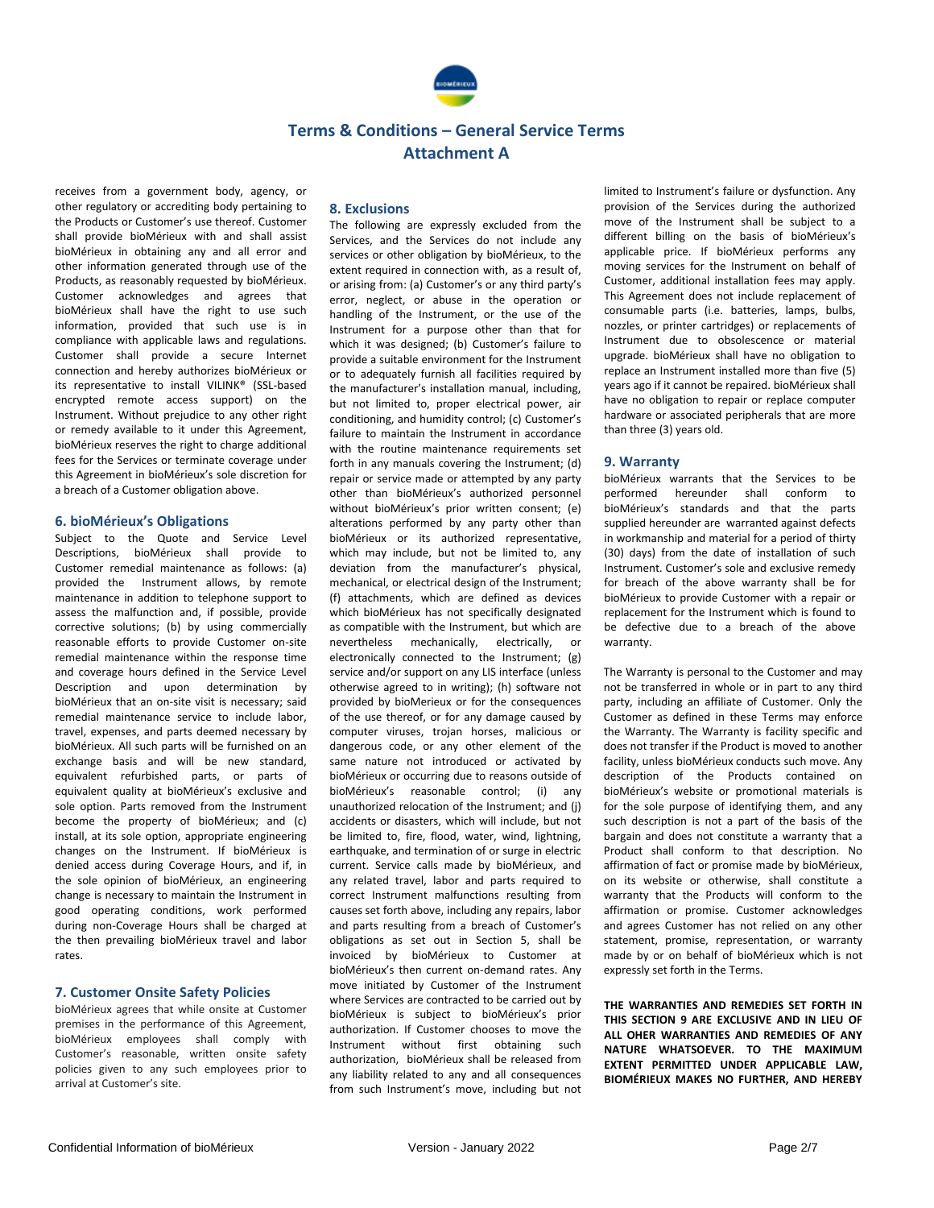

receives from a government body, agency, or other regulatory or accrediting body pertaining to the Products or Customer's use thereof. Customer shall provide bioMérieux with and shall assist bioMérieux in obtaining any and all error and other information generated through use of the Products, as reasonably requested by bioMérieux. Customer acknowledges and agrees that bioMérieux shall have the right to use such information, provided that such use is in compliance with applicable laws and regulations. Customer shall provide a secure Internet connection and hereby authorizes bioMérieux or its representative to install VILINK® (SSL-based encrypted remote access support) on the Instrument. Without prejudice to any other right or remedy available to it under this Agreement, bioMérieux reserves the right to charge additional fees for the Services or terminate coverage under this Agreement in bioMérieux's sole discretion for a breach of a Customer obligation above.

#### **6. bioMérieux's Obligations**

Subject to the Quote and Service Level Descriptions, bioMérieux shall provide to Customer remedial maintenance as follows: (a) provided the Instrument allows, by remote maintenance in addition to telephone support to assess the malfunction and, if possible, provide corrective solutions; (b) by using commercially reasonable efforts to provide Customer on-site remedial maintenance within the response time and coverage hours defined in the Service Level Description and upon determination by bioMérieux that an on-site visit is necessary; said remedial maintenance service to include labor, travel, expenses, and parts deemed necessary by bioMérieux. All such parts will be furnished on an exchange basis and will be new standard, equivalent refurbished parts, or parts of equivalent quality at bioMérieux's exclusive and sole option. Parts removed from the Instrument become the property of bioMérieux; and (c) install, at its sole option, appropriate engineering changes on the Instrument. If bioMérieux is denied access during Coverage Hours, and if, in the sole opinion of bioMérieux, an engineering change is necessary to maintain the Instrument in good operating conditions, work performed during non-Coverage Hours shall be charged at the then prevailing bioMérieux travel and labor rates.

#### **7. Customer Onsite Safety Policies**

bioMérieux agrees that while onsite at Customer premises in the performance of this Agreement, bioMérieux employees shall comply with Customer's reasonable, written onsite safety policies given to any such employees prior to arrival at Customer's site.

#### **8. Exclusions**

The following are expressly excluded from the Services, and the Services do not include any services or other obligation by bioMérieux, to the extent required in connection with, as a result of, or arising from: (a) Customer's or any third party's error, neglect, or abuse in the operation or handling of the Instrument, or the use of the Instrument for a purpose other than that for which it was designed; (b) Customer's failure to provide a suitable environment for the Instrument or to adequately furnish all facilities required by the manufacturer's installation manual, including, but not limited to, proper electrical power, air conditioning, and humidity control; (c) Customer's failure to maintain the Instrument in accordance with the routine maintenance requirements set forth in any manuals covering the Instrument; (d) repair or service made or attempted by any party other than bioMérieux's authorized personnel without bioMérieux's prior written consent; (e) alterations performed by any party other than bioMérieux or its authorized representative, which may include, but not be limited to, any deviation from the manufacturer's physical, mechanical, or electrical design of the Instrument; (f) attachments, which are defined as devices which bioMérieux has not specifically designated as compatible with the Instrument, but which are nevertheless mechanically, electrically, or electronically connected to the Instrument; (g) service and/or support on any LIS interface (unless otherwise agreed to in writing); (h) software not provided by bioMerieux or for the consequences of the use thereof, or for any damage caused by computer viruses, trojan horses, malicious or dangerous code, or any other element of the same nature not introduced or activated by bioMérieux or occurring due to reasons outside of bioMérieux's reasonable control; (i) any unauthorized relocation of the Instrument; and (j) accidents or disasters, which will include, but not be limited to, fire, flood, water, wind, lightning, earthquake, and termination of or surge in electric current. Service calls made by bioMérieux, and any related travel, labor and parts required to correct Instrument malfunctions resulting from causes set forth above, including any repairs, labor and parts resulting from a breach of Customer's obligations as set out in Section 5, shall be invoiced by bioMérieux to Customer at bioMérieux's then current on-demand rates. Any move initiated by Customer of the Instrument where Services are contracted to be carried out by bioMérieux is subject to bioMérieux's prior authorization. If Customer chooses to move the Instrument without first obtaining such authorization, bioMérieux shall be released from any liability related to any and all consequences from such Instrument's move, including but not

limited to Instrument's failure or dysfunction. Any provision of the Services during the authorized move of the Instrument shall be subject to a different billing on the basis of bioMérieux's applicable price. If bioMérieux performs any moving services for the Instrument on behalf of Customer, additional installation fees may apply. This Agreement does not include replacement of consumable parts (i.e. batteries, lamps, bulbs, nozzles, or printer cartridges) or replacements of Instrument due to obsolescence or material upgrade. bioMérieux shall have no obligation to replace an Instrument installed more than five (5) years ago if it cannot be repaired. bioMérieux shall have no obligation to repair or replace computer hardware or associated peripherals that are more than three (3) years old.

#### **9. Warranty**

bioMérieux warrants that the Services to be performed hereunder shall conform to bioMérieux's standards and that the parts supplied hereunder are warranted against defects in workmanship and material for a period of thirty (30) days) from the date of installation of such Instrument. Customer's sole and exclusive remedy for breach of the above warranty shall be for bioMérieux to provide Customer with a repair or replacement for the Instrument which is found to be defective due to a breach of the above warranty.

The Warranty is personal to the Customer and may not be transferred in whole or in part to any third party, including an affiliate of Customer. Only the Customer as defined in these Terms may enforce the Warranty. The Warranty is facility specific and does not transfer if the Product is moved to another facility, unless bioMérieux conducts such move. Any description of the Products contained on bioMérieux's website or promotional materials is for the sole purpose of identifying them, and any such description is not a part of the basis of the bargain and does not constitute a warranty that a Product shall conform to that description. No affirmation of fact or promise made by bioMérieux, on its website or otherwise, shall constitute a warranty that the Products will conform to the affirmation or promise. Customer acknowledges and agrees Customer has not relied on any other statement, promise, representation, or warranty made by or on behalf of bioMérieux which is not expressly set forth in the Terms.

**THE WARRANTIES AND REMEDIES SET FORTH IN THIS SECTION 9 ARE EXCLUSIVE AND IN LIEU OF ALL OHER WARRANTIES AND REMEDIES OF ANY NATURE WHATSOEVER. TO THE MAXIMUM EXTENT PERMITTED UNDER APPLICABLE LAW, BIOMÉRIEUX MAKES NO FURTHER, AND HEREBY**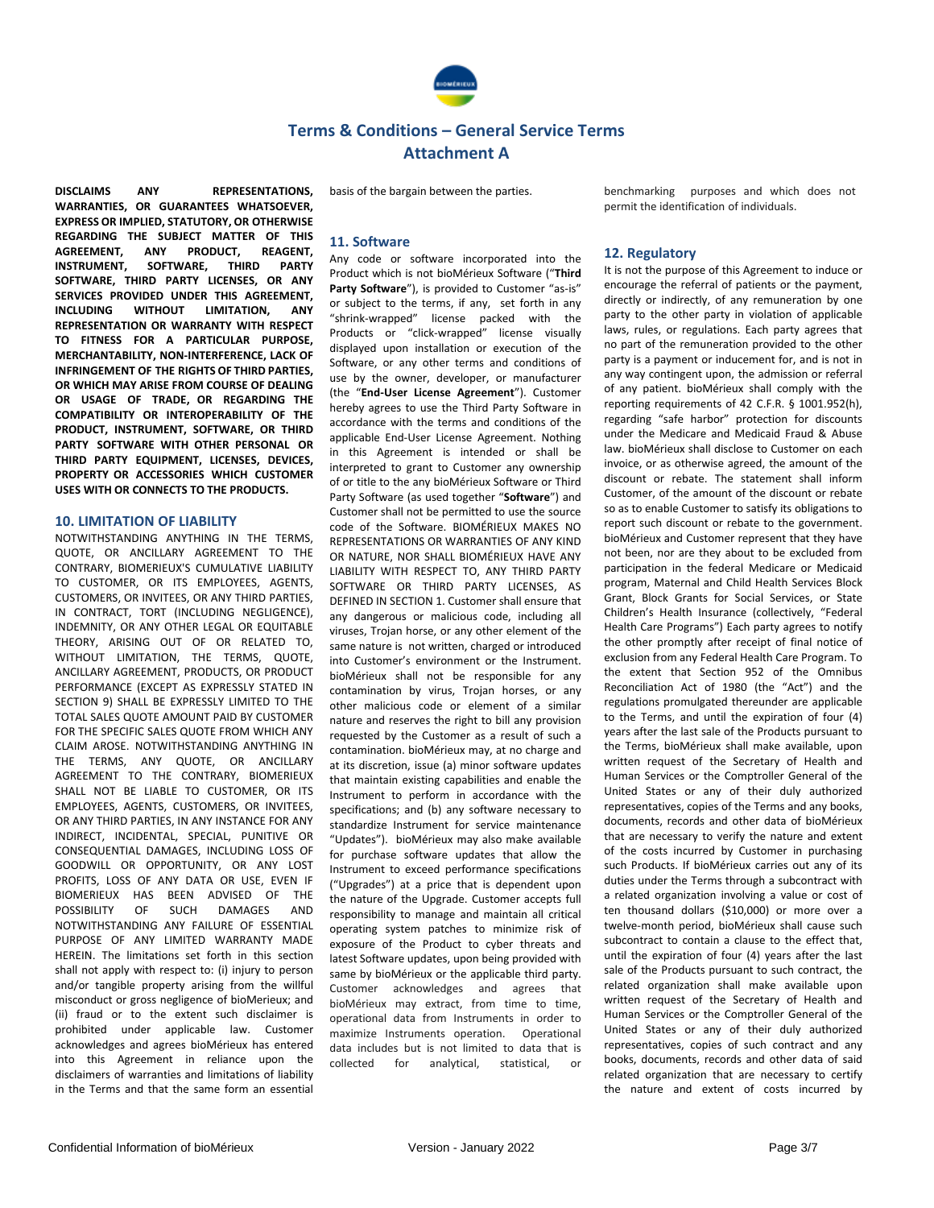

basis of the bargain between the parties.

**DISCLAIMS ANY REPRESENTATIONS, WARRANTIES, OR GUARANTEES WHATSOEVER, EXPRESS OR IMPLIED, STATUTORY, OR OTHERWISE REGARDING THE SUBJECT MATTER OF THIS AGREEMENT, ANY PRODUCT, REAGENT, INSTRUMENT, SOFTWARE, THIRD PARTY SOFTWARE, THIRD PARTY LICENSES, OR ANY SERVICES PROVIDED UNDER THIS AGREEMENT, INCLUDING WITHOUT LIMITATION, ANY REPRESENTATION OR WARRANTY WITH RESPECT TO FITNESS FOR A PARTICULAR PURPOSE MERCHANTABILITY, NON-INTERFERENCE, LACK OF INFRINGEMENT OF THE RIGHTS OF THIRD PARTIES, OR WHICH MAY ARISE FROM COURSE OF DEALING OR USAGE OF TRADE, OR REGARDING THE COMPATIBILITY OR INTEROPERABILITY OF THE PRODUCT, INSTRUMENT, SOFTWARE, OR THIRD PARTY SOFTWARE WITH OTHER PERSONAL OR THIRD PARTY EQUIPMENT, LICENSES, DEVICES, PROPERTY OR ACCESSORIES WHICH CUSTOMER USES WITH OR CONNECTS TO THE PRODUCTS.**

#### **10. LIMITATION OF LIABILITY**

NOTWITHSTANDING ANYTHING IN THE TERMS, QUOTE, OR ANCILLARY AGREEMENT TO THE CONTRARY, BIOMERIEUX'S CUMULATIVE LIABILITY TO CUSTOMER, OR ITS EMPLOYEES, AGENTS, CUSTOMERS, OR INVITEES, OR ANY THIRD PARTIES, IN CONTRACT, TORT (INCLUDING NEGLIGENCE), INDEMNITY, OR ANY OTHER LEGAL OR EQUITABLE THEORY, ARISING OUT OF OR RELATED TO, WITHOUT LIMITATION, THE TERMS, QUOTE, ANCILLARY AGREEMENT, PRODUCTS, OR PRODUCT PERFORMANCE (EXCEPT AS EXPRESSLY STATED IN SECTION 9) SHALL BE EXPRESSLY LIMITED TO THE TOTAL SALES QUOTE AMOUNT PAID BY CUSTOMER FOR THE SPECIFIC SALES QUOTE FROM WHICH ANY CLAIM AROSE. NOTWITHSTANDING ANYTHING IN THE TERMS, ANY QUOTE, OR ANCILLARY AGREEMENT TO THE CONTRARY, BIOMERIEUX SHALL NOT BE LIABLE TO CUSTOMER. OR ITS EMPLOYEES, AGENTS, CUSTOMERS, OR INVITEES, OR ANY THIRD PARTIES, IN ANY INSTANCE FOR ANY INDIRECT, INCIDENTAL, SPECIAL, PUNITIVE OR CONSEQUENTIAL DAMAGES, INCLUDING LOSS OF GOODWILL OR OPPORTUNITY, OR ANY LOST PROFITS, LOSS OF ANY DATA OR USE, EVEN IF BIOMERIEUX HAS BEEN ADVISED OF THE POSSIBILITY OF SUCH DAMAGES AND NOTWITHSTANDING ANY FAILURE OF ESSENTIAL PURPOSE OF ANY LIMITED WARRANTY MADE HEREIN. The limitations set forth in this section shall not apply with respect to: (i) injury to person and/or tangible property arising from the willful misconduct or gross negligence of bioMerieux; and (ii) fraud or to the extent such disclaimer is prohibited under applicable law. Customer acknowledges and agrees bioMérieux has entered into this Agreement in reliance upon the disclaimers of warranties and limitations of liability in the Terms and that the same form an essential

**11. Software**

Any code or software incorporated into the Product which is not bioMérieux Software ("**Third**  Party Software"), is provided to Customer "as-is" or subject to the terms, if any, set forth in any "shrink-wrapped" license packed with the Products or "click-wrapped" license visually displayed upon installation or execution of the Software, or any other terms and conditions of use by the owner, developer, or manufacturer (the "**End-User License Agreement**"). Customer hereby agrees to use the Third Party Software in accordance with the terms and conditions of the applicable End-User License Agreement. Nothing in this Agreement is intended or shall be interpreted to grant to Customer any ownership of or title to the any bioMérieux Software or Third Party Software (as used together "**Software**") and Customer shall not be permitted to use the source code of the Software. BIOMÉRIEUX MAKES NO REPRESENTATIONS OR WARRANTIES OF ANY KIND OR NATURE, NOR SHALL BIOMÉRIEUX HAVE ANY LIABILITY WITH RESPECT TO, ANY THIRD PARTY SOFTWARE OR THIRD PARTY LICENSES, AS DEFINED IN SECTION 1. Customer shall ensure that any dangerous or malicious code, including all viruses, Trojan horse, or any other element of the same nature is not written, charged or introduced into Customer's environment or the Instrument. bioMérieux shall not be responsible for any contamination by virus, Trojan horses, or any other malicious code or element of a similar nature and reserves the right to bill any provision requested by the Customer as a result of such a contamination. bioMérieux may, at no charge and at its discretion, issue (a) minor software updates that maintain existing capabilities and enable the Instrument to perform in accordance with the specifications; and (b) any software necessary to standardize Instrument for service maintenance "Updates"). bioMérieux may also make available for purchase software updates that allow the Instrument to exceed performance specifications ("Upgrades") at a price that is dependent upon the nature of the Upgrade. Customer accepts full responsibility to manage and maintain all critical operating system patches to minimize risk of exposure of the Product to cyber threats and latest Software updates, upon being provided with same by bioMérieux or the applicable third party. Customer acknowledges and agrees that bioMérieux may extract, from time to time, operational data from Instruments in order to maximize Instruments operation. Operational data includes but is not limited to data that is collected for analytical, statistical, or

benchmarking purposes and which does not permit the identification of individuals.

#### **12. Regulatory**

It is not the purpose of this Agreement to induce or encourage the referral of patients or the payment, directly or indirectly, of any remuneration by one party to the other party in violation of applicable laws, rules, or regulations. Each party agrees that no part of the remuneration provided to the other party is a payment or inducement for, and is not in any way contingent upon, the admission or referral of any patient. bioMérieux shall comply with the reporting requirements of 42 C.F.R. § 1001.952(h), regarding "safe harbor" protection for discounts under the Medicare and Medicaid Fraud & Abuse law. bioMérieux shall disclose to Customer on each invoice, or as otherwise agreed, the amount of the discount or rebate. The statement shall inform Customer, of the amount of the discount or rebate so as to enable Customer to satisfy its obligations to report such discount or rebate to the government. bioMérieux and Customer represent that they have not been, nor are they about to be excluded from participation in the federal Medicare or Medicaid program, Maternal and Child Health Services Block Grant, Block Grants for Social Services, or State Children's Health Insurance (collectively, "Federal Health Care Programs") Each party agrees to notify the other promptly after receipt of final notice of exclusion from any Federal Health Care Program. To the extent that Section 952 of the Omnibus Reconciliation Act of 1980 (the "Act") and the regulations promulgated thereunder are applicable to the Terms, and until the expiration of four (4) years after the last sale of the Products pursuant to the Terms, bioMérieux shall make available, upon written request of the Secretary of Health and Human Services or the Comptroller General of the United States or any of their duly authorized representatives, copies of the Terms and any books, documents, records and other data of bioMérieux that are necessary to verify the nature and extent of the costs incurred by Customer in purchasing such Products. If bioMérieux carries out any of its duties under the Terms through a subcontract with a related organization involving a value or cost of ten thousand dollars (\$10,000) or more over a twelve-month period, bioMérieux shall cause such subcontract to contain a clause to the effect that until the expiration of four (4) years after the last sale of the Products pursuant to such contract, the related organization shall make available upon written request of the Secretary of Health and Human Services or the Comptroller General of the United States or any of their duly authorized representatives, copies of such contract and any books, documents, records and other data of said related organization that are necessary to certify the nature and extent of costs incurred by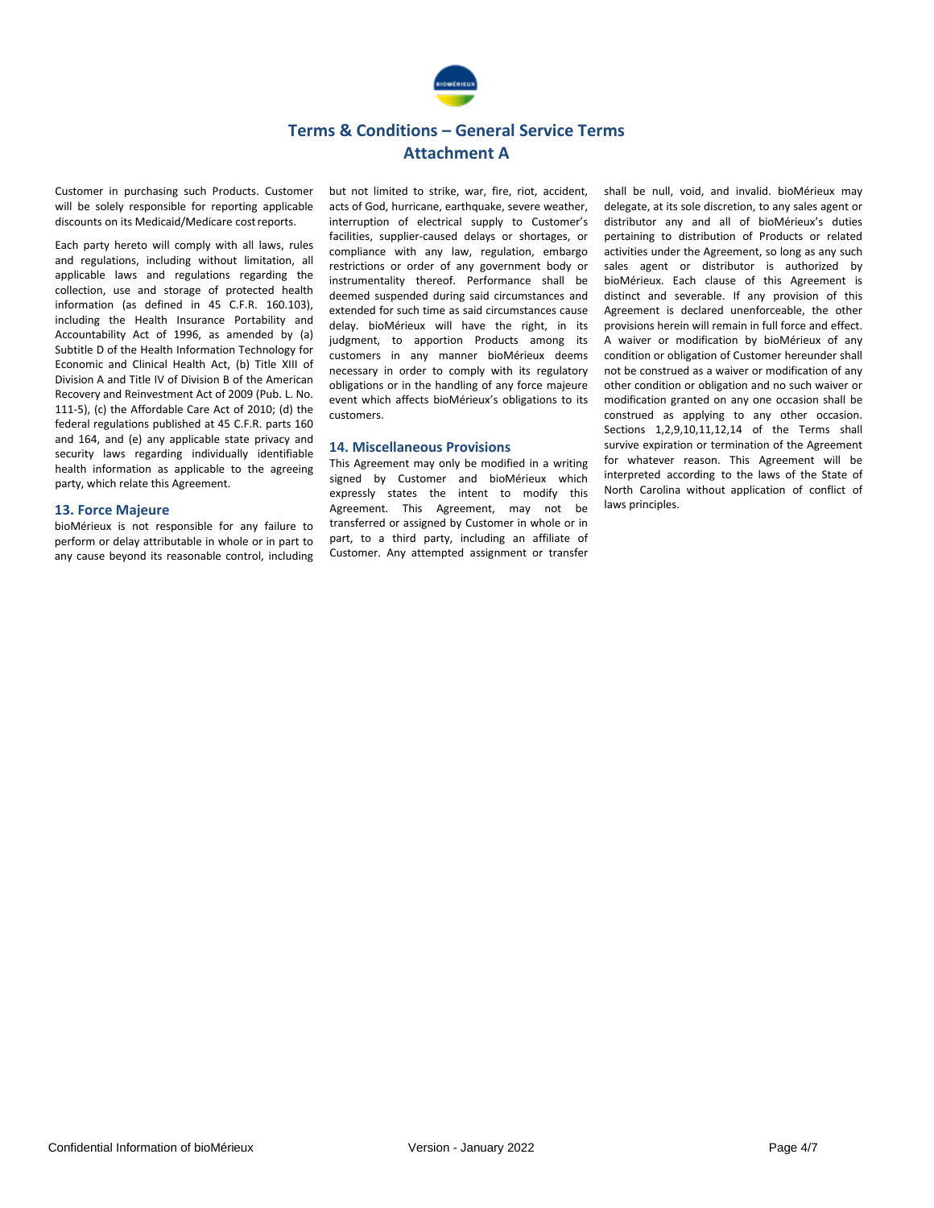

Customer in purchasing such Products. Customer will be solely responsible for reporting applicable discounts on its Medicaid/Medicare costreports.

Each party hereto will comply with all laws, rules and regulations, including without limitation, all applicable laws and regulations regarding the collection, use and storage of protected health information (as defined in 45 C.F.R. 160.103), including the Health Insurance Portability and Accountability Act of 1996, as amended by (a) Subtitle D of the Health Information Technology for Economic and Clinical Health Act, (b) Title XIII of Division A and Title IV of Division B of the American Recovery and Reinvestment Act of 2009 (Pub. L. No. 111-5), (c) the Affordable Care Act of 2010; (d) the federal regulations published at 45 C.F.R. parts 160 and 164, and (e) any applicable state privacy and security laws regarding individually identifiable health information as applicable to the agreeing party, which relate this Agreement.

#### **13. Force Majeure**

bioMérieux is not responsible for any failure to perform or delay attributable in whole or in part to any cause beyond its reasonable control, including but not limited to strike, war, fire, riot, accident, acts of God, hurricane, earthquake, severe weather, interruption of electrical supply to Customer's facilities, supplier-caused delays or shortages, or compliance with any law, regulation, embargo restrictions or order of any government body or instrumentality thereof. Performance shall be deemed suspended during said circumstances and extended for such time as said circumstances cause delay. bioMérieux will have the right, in its judgment, to apportion Products among its customers in any manner bioMérieux deems necessary in order to comply with its regulatory obligations or in the handling of any force majeure event which affects bioMérieux's obligations to its customers.

#### **14. Miscellaneous Provisions**

This Agreement may only be modified in a writing signed by Customer and bioMérieux which expressly states the intent to modify this Agreement. This Agreement, may not be transferred or assigned by Customer in whole or in part, to a third party, including an affiliate of Customer. Any attempted assignment or transfer shall be null, void, and invalid. bioMérieux may delegate, at its sole discretion, to any sales agent or distributor any and all of bioMérieux's duties pertaining to distribution of Products or related activities under the Agreement, so long as any such sales agent or distributor is authorized by bioMérieux. Each clause of this Agreement is distinct and severable. If any provision of this Agreement is declared unenforceable, the other provisions herein will remain in full force and effect. A waiver or modification by bioMérieux of any condition or obligation of Customer hereunder shall not be construed as a waiver or modification of any other condition or obligation and no such waiver or modification granted on any one occasion shall be construed as applying to any other occasion. Sections 1,2,9,10,11,12,14 of the Terms shall survive expiration or termination of the Agreement for whatever reason. This Agreement will be interpreted according to the laws of the State of North Carolina without application of conflict of laws principles.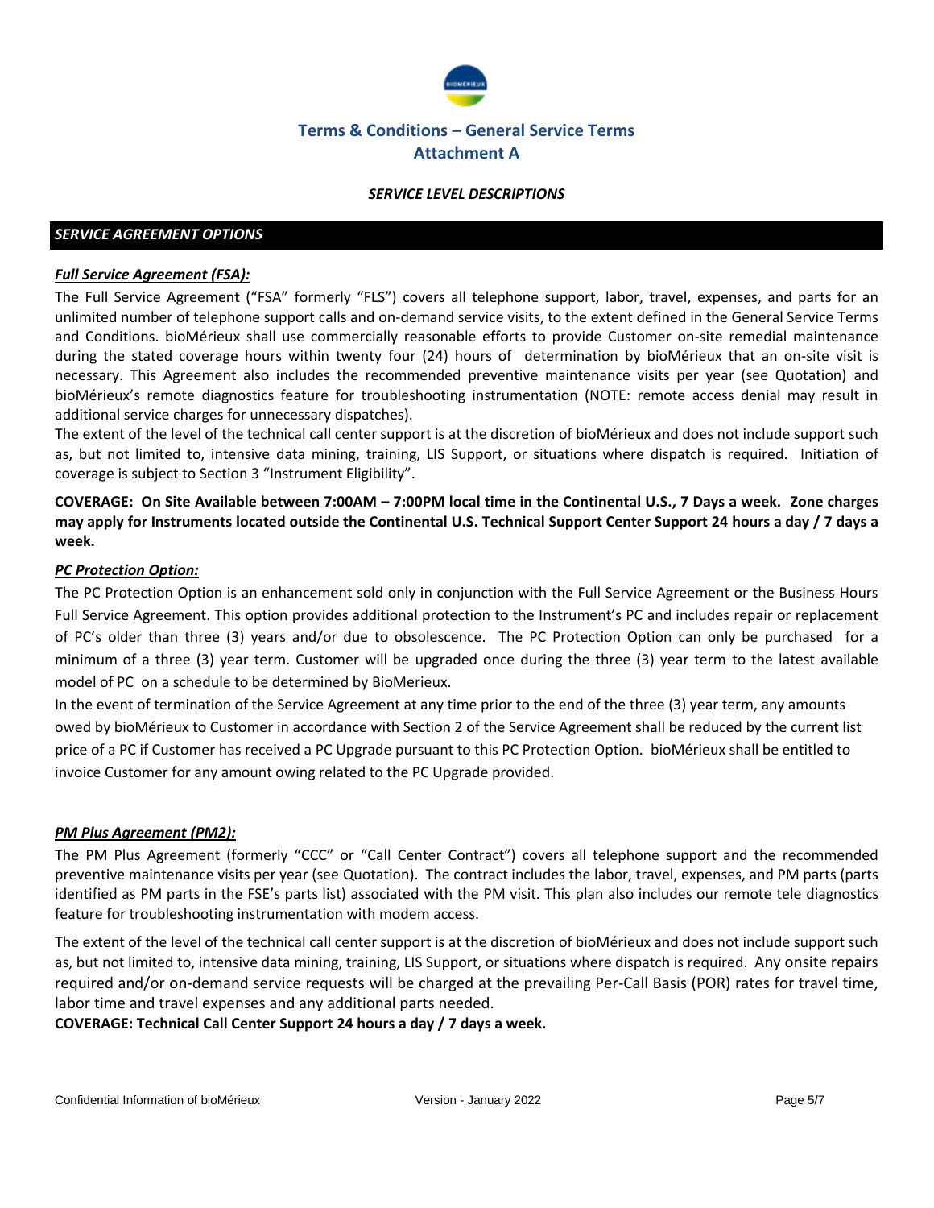

## *SERVICE LEVEL DESCRIPTIONS*

## *SERVICE AGREEMENT OPTIONS*

## *Full Service Agreement (FSA):*

The Full Service Agreement ("FSA" formerly "FLS") covers all telephone support, labor, travel, expenses, and parts for an unlimited number of telephone support calls and on-demand service visits, to the extent defined in the General Service Terms and Conditions. bioMérieux shall use commercially reasonable efforts to provide Customer on-site remedial maintenance during the stated coverage hours within twenty four (24) hours of determination by bioMérieux that an on-site visit is necessary. This Agreement also includes the recommended preventive maintenance visits per year (see Quotation) and bioMérieux's remote diagnostics feature for troubleshooting instrumentation (NOTE: remote access denial may result in additional service charges for unnecessary dispatches).

The extent of the level of the technical call center support is at the discretion of bioMérieux and does not include support such as, but not limited to, intensive data mining, training, LIS Support, or situations where dispatch is required. Initiation of coverage is subject to Section 3 "Instrument Eligibility".

**COVERAGE: On Site Available between 7:00AM – 7:00PM local time in the Continental U.S., 7 Days a week. Zone charges may apply for Instruments located outside the Continental U.S. Technical Support Center Support 24 hours a day / 7 days a week.**

## *PC Protection Option:*

The PC Protection Option is an enhancement sold only in conjunction with the Full Service Agreement or the Business Hours Full Service Agreement. This option provides additional protection to the Instrument's PC and includes repair or replacement of PC's older than three (3) years and/or due to obsolescence. The PC Protection Option can only be purchased for a minimum of a three (3) year term. Customer will be upgraded once during the three (3) year term to the latest available model of PC on a schedule to be determined by BioMerieux.

In the event of termination of the Service Agreement at any time prior to the end of the three (3) year term, any amounts owed by bioMérieux to Customer in accordance with Section 2 of the Service Agreement shall be reduced by the current list price of a PC if Customer has received a PC Upgrade pursuant to this PC Protection Option. bioMérieux shall be entitled to invoice Customer for any amount owing related to the PC Upgrade provided.

## *PM Plus Agreement (PM2):*

The PM Plus Agreement (formerly "CCC" or "Call Center Contract") covers all telephone support and the recommended preventive maintenance visits per year (see Quotation). The contract includes the labor, travel, expenses, and PM parts (parts identified as PM parts in the FSE's parts list) associated with the PM visit. This plan also includes our remote tele diagnostics feature for troubleshooting instrumentation with modem access.

The extent of the level of the technical call center support is at the discretion of bioMérieux and does not include support such as, but not limited to, intensive data mining, training, LIS Support, or situations where dispatch is required. Any onsite repairs required and/or on-demand service requests will be charged at the prevailing Per-Call Basis (POR) rates for travel time, labor time and travel expenses and any additional parts needed.

**COVERAGE: Technical Call Center Support 24 hours a day / 7 days a week.**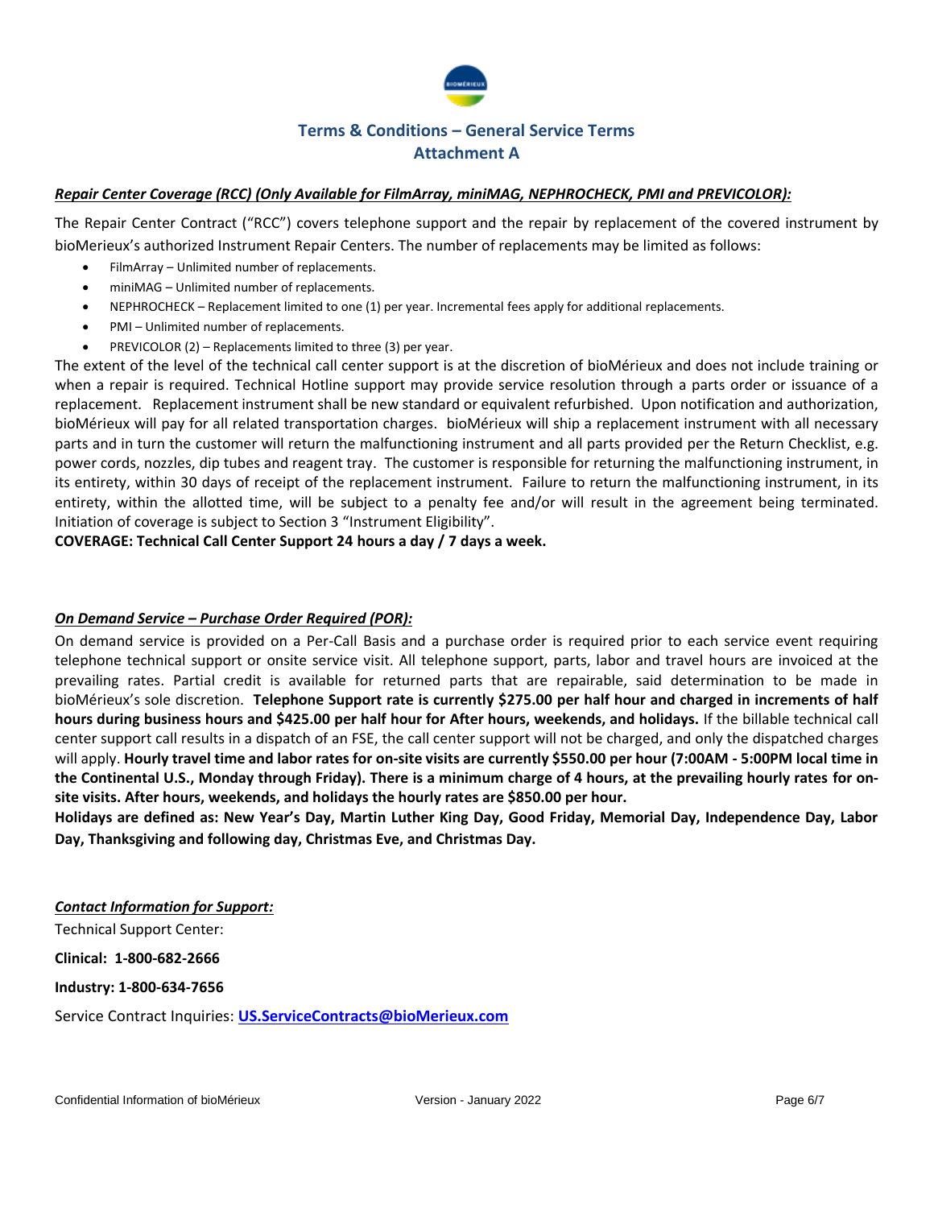

## *Repair Center Coverage (RCC) (Only Available for FilmArray, miniMAG, NEPHROCHECK, PMI and PREVICOLOR):*

The Repair Center Contract ("RCC") covers telephone support and the repair by replacement of the covered instrument by bioMerieux's authorized Instrument Repair Centers. The number of replacements may be limited as follows:

- FilmArray Unlimited number of replacements.
- miniMAG Unlimited number of replacements.
- NEPHROCHECK Replacement limited to one (1) per year. Incremental fees apply for additional replacements.
- PMI Unlimited number of replacements.
- PREVICOLOR (2) Replacements limited to three (3) per year.

The extent of the level of the technical call center support is at the discretion of bioMérieux and does not include training or when a repair is required. Technical Hotline support may provide service resolution through a parts order or issuance of a replacement. Replacement instrument shall be new standard or equivalent refurbished. Upon notification and authorization, bioMérieux will pay for all related transportation charges. bioMérieux will ship a replacement instrument with all necessary parts and in turn the customer will return the malfunctioning instrument and all parts provided per the Return Checklist, e.g. power cords, nozzles, dip tubes and reagent tray. The customer is responsible for returning the malfunctioning instrument, in its entirety, within 30 days of receipt of the replacement instrument. Failure to return the malfunctioning instrument, in its entirety, within the allotted time, will be subject to a penalty fee and/or will result in the agreement being terminated. Initiation of coverage is subject to Section 3 "Instrument Eligibility".

## **COVERAGE: Technical Call Center Support 24 hours a day / 7 days a week.**

## *On Demand Service – Purchase Order Required (POR):*

On demand service is provided on a Per-Call Basis and a purchase order is required prior to each service event requiring telephone technical support or onsite service visit. All telephone support, parts, labor and travel hours are invoiced at the prevailing rates. Partial credit is available for returned parts that are repairable, said determination to be made in bioMérieux's sole discretion. **Telephone Support rate is currently \$275.00 per half hour and charged in increments of half hours during business hours and \$425.00 per half hour for After hours, weekends, and holidays.** If the billable technical call center support call results in a dispatch of an FSE, the call center support will not be charged, and only the dispatched charges will apply. **Hourly travel time and labor rates for on-site visits are currently \$550.00 per hour (7:00AM - 5:00PM local time in the Continental U.S., Monday through Friday). There is a minimum charge of 4 hours, at the prevailing hourly rates for onsite visits. After hours, weekends, and holidays the hourly rates are \$850.00 per hour.** 

**Holidays are defined as: New Year's Day, Martin Luther King Day, Good Friday, Memorial Day, Independence Day, Labor Day, Thanksgiving and following day, Christmas Eve, and Christmas Day.** 

*Contact Information for Support:*

Technical Support Center:

**Clinical: 1-800-682-2666**

**Industry: 1-800-634-7656**

Service Contract Inquiries: **[US.ServiceContracts@bioMerieux.com](mailto:US.ServiceContracts@bioMerieux.com)**